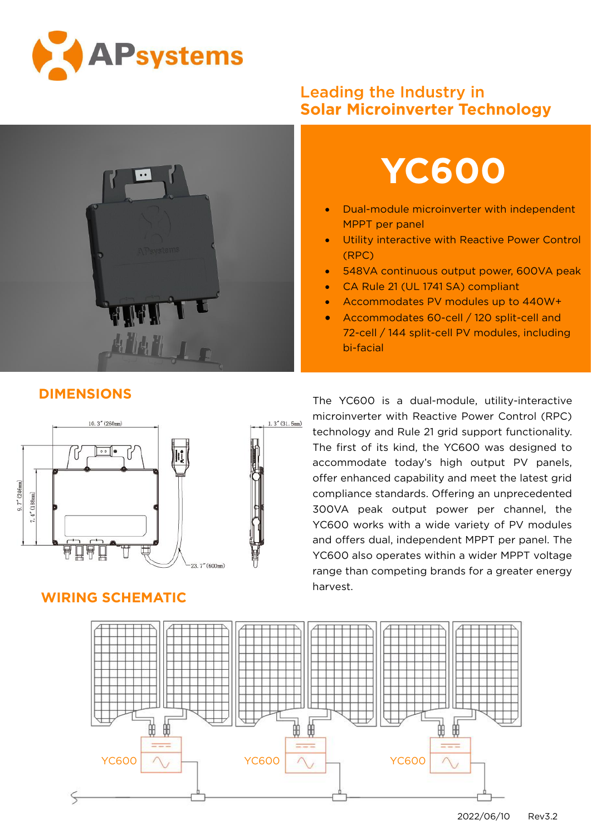



## Leading the Industry in **Solar Microinverter Technology**



- Dual-module microinverter with independent MPPT per panel
- **Utility interactive with Reactive Power Control** (RPC)
- **548VA continuous output power, 600VA peak**
- CA Rule 21 (UL 1741 SA) compliant
- Accommodates PV modules up to 440W+
- Accommodates 60-cell / 120 split-cell and 72-cell / 144 split-cell PV modules, including bi-facial



## **WIRING SCHEMATIC**

The YC600 is a dual-module, utility-interactive microinverter with Reactive Power Control (RPC) technology and Rule 21 grid support functionality. The first of its kind, the YC600 was designed to accommodate today's high output PV panels, offer enhanced capability and meet the latest grid compliance standards. Offering an unprecedented 300VA peak output power per channel, the YC600 works with a wide variety of PV modules and offers dual, independent MPPT per panel. The YC600 also operates within a wider MPPT voltage range than competing brands for a greater energy harvest.



## **DIMENSIONS**